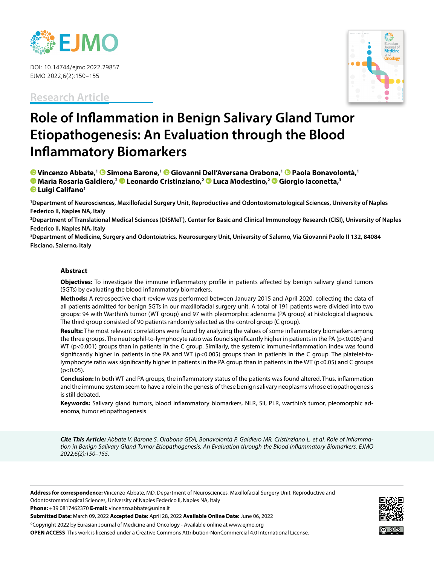

DOI: 10.14744/ejmo.2022.29857 EJMO 2022;6(2):150–155

**Research Article**



# **Role of Inflammation in Benign Salivary Gland Tumor Etiopathogenesis: An Evaluation through the Blood Inflammatory Biomarkers**

 **[V](https://orcid.org/0000-0002-7905-0531)incenzo Abbate,1Simona Barone,[1](https://orcid.org/0000-0001-6479-6130) Giovanni Dell'Aversana Orabona,1Paola Bonavolontà,1 Maria Rosaria Galdiero,[2 L](https://orcid.org/0000-0002-7835-2212)eonardo Cristinziano,2Luca Modestino,[2 G](https://orcid.org/0000-0001-6924-3551)iorgio Iaconetta,3 Luigi Califano1**

**1 Department of Neurosciences, Maxillofacial Surgery Unit, Reproductive and Odontostomatological Sciences, University of Naples Federico II, Naples NA, Italy**

**2 Department of Translational Medical Sciences (DiSMeT), Center for Basic and Clinical Immunology Research (CISI), University of Naples Federico II, Naples NA, Italy**

**3 Department of Medicine, Surgery and Odontoiatrics, Neurosurgery Unit, University of Salerno, Via Giovanni Paolo II 132, 84084 Fisciano, Salerno, Italy**

## **Abstract**

**Objectives:** To investigate the immune inflammatory profile in patients affected by benign salivary gland tumors (SGTs) by evaluating the blood inflammatory biomarkers.

**Methods:** A retrospective chart review was performed between January 2015 and April 2020, collecting the data of all patients admitted for benign SGTs in our maxillofacial surgery unit. A total of 191 patients were divided into two groups: 94 with Warthin's tumor (WT group) and 97 with pleomorphic adenoma (PA group) at histological diagnosis. The third group consisted of 90 patients randomly selected as the control group (C group).

**Results:** The most relevant correlations were found by analyzing the values of some inflammatory biomarkers among the three groups. The neutrophil-to-lymphocyte ratio was found significantly higher in patients in the PA (p<0.005) and WT (p<0.001) groups than in patients in the C group. Similarly, the systemic immune-inflammation index was found significantly higher in patients in the PA and WT ( $p$ <0.005) groups than in patients in the C group. The platelet-tolymphocyte ratio was significantly higher in patients in the PA group than in patients in the WT (p<0.05) and C groups  $(p<0.05)$ .

**Conclusion:** In both WT and PA groups, the inflammatory status of the patients was found altered. Thus, inflammation and the immune system seem to have a role in the genesis of these benign salivary neoplasms whose etiopathogenesis is still debated.

**Keywords:** Salivary gland tumors, blood inflammatory biomarkers, NLR, SII, PLR, warthin's tumor, pleomorphic adenoma, tumor etiopathogenesis

*Cite This Article: Abbate V, Barone S, Orabona GDA, Bonavolontà P, Galdiero MR, Cristinziano L, et al. Role of Inflammation in Benign Salivary Gland Tumor Etiopathogenesis: An Evaluation through the Blood Inflammatory Biomarkers. EJMO 2022;6(2):150–155.*

**Address for correspondence:** Vincenzo Abbate, MD. Department of Neurosciences, Maxillofacial Surgery Unit, Reproductive and Odontostomatological Sciences, University of Naples Federico II, Naples NA, Italy

**Phone:** +39 0817462370 **E-mail:** vincenzo.abbate@unina.it

**Submitted Date:** March 09, 2022 **Accepted Date:** April 28, 2022 **Available Online Date:** June 06, 2022

©Copyright 2022 by Eurasian Journal of Medicine and Oncology - Available online at www.ejmo.org **OPEN ACCESS** This work is licensed under a Creative Commons Attribution-NonCommercial 4.0 International License.

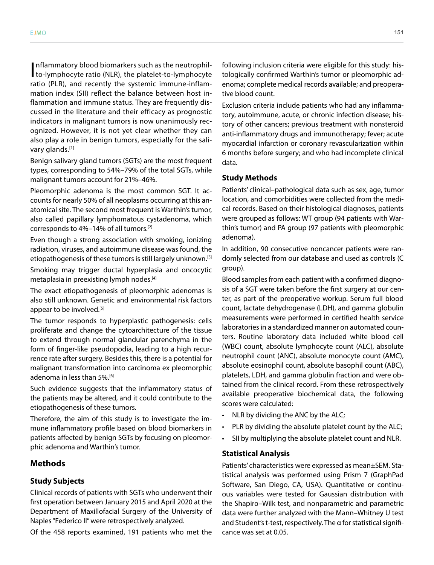Inflammatory blood biomarkers such as the neutrophil-<br>to-lymphocyte ratio (NLR), the platelet-to-lymphocyte nflammatory blood biomarkers such as the neutrophilratio (PLR), and recently the systemic immune-inflammation index (SII) reflect the balance between host inflammation and immune status. They are frequently discussed in the literature and their efficacy as prognostic indicators in malignant tumors is now unanimously recognized. However, it is not yet clear whether they can also play a role in benign tumors, especially for the salivary glands.<sup>[1]</sup>

Benign salivary gland tumors (SGTs) are the most frequent types, corresponding to 54%–79% of the total SGTs, while malignant tumors account for 21%–46%.

Pleomorphic adenoma is the most common SGT. It accounts for nearly 50% of all neoplasms occurring at this anatomical site. The second most frequent is Warthin's tumor, also called papillary lymphomatous cystadenoma, which corresponds to 4%–14% of all tumors.[2]

Even though a strong association with smoking, ionizing radiation, viruses, and autoimmune disease was found, the etiopathogenesis of these tumors is still largely unknown.<sup>[3]</sup>

Smoking may trigger ductal hyperplasia and oncocytic metaplasia in preexisting lymph nodes.<sup>[4]</sup>

The exact etiopathogenesis of pleomorphic adenomas is also still unknown. Genetic and environmental risk factors appear to be involved.<sup>[5]</sup>

The tumor responds to hyperplastic pathogenesis: cells proliferate and change the cytoarchitecture of the tissue to extend through normal glandular parenchyma in the form of finger-like pseudopodia, leading to a high recurrence rate after surgery. Besides this, there is a potential for malignant transformation into carcinoma ex pleomorphic adenoma in less than 5%.<sup>[6]</sup>

Such evidence suggests that the inflammatory status of the patients may be altered, and it could contribute to the etiopathogenesis of these tumors.

Therefore, the aim of this study is to investigate the immune inflammatory profile based on blood biomarkers in patients affected by benign SGTs by focusing on pleomorphic adenoma and Warthin's tumor.

## **Methods**

## **Study Subjects**

Clinical records of patients with SGTs who underwent their first operation between January 2015 and April 2020 at the Department of Maxillofacial Surgery of the University of Naples "Federico II" were retrospectively analyzed.

Of the 458 reports examined, 191 patients who met the

following inclusion criteria were eligible for this study: histologically confirmed Warthin's tumor or pleomorphic adenoma; complete medical records available; and preoperative blood count.

Exclusion criteria include patients who had any inflammatory, autoimmune, acute, or chronic infection disease; history of other cancers; previous treatment with nonsteroid anti-inflammatory drugs and immunotherapy; fever; acute myocardial infarction or coronary revascularization within 6 months before surgery; and who had incomplete clinical data.

#### **Study Methods**

Patients' clinical–pathological data such as sex, age, tumor location, and comorbidities were collected from the medical records. Based on their histological diagnoses, patients were grouped as follows: WT group (94 patients with Warthin's tumor) and PA group (97 patients with pleomorphic adenoma).

In addition, 90 consecutive noncancer patients were randomly selected from our database and used as controls (C group).

Blood samples from each patient with a confirmed diagnosis of a SGT were taken before the first surgery at our center, as part of the preoperative workup. Serum full blood count, lactate dehydrogenase (LDH), and gamma globulin measurements were performed in certified health service laboratories in a standardized manner on automated counters. Routine laboratory data included white blood cell (WBC) count, absolute lymphocyte count (ALC), absolute neutrophil count (ANC), absolute monocyte count (AMC), absolute eosinophil count, absolute basophil count (ABC), platelets, LDH, and gamma globulin fraction and were obtained from the clinical record. From these retrospectively available preoperative biochemical data, the following scores were calculated:

- NLR by dividing the ANC by the ALC;
- PLR by dividing the absolute platelet count by the ALC;
- SII by multiplying the absolute platelet count and NLR.

## **Statistical Analysis**

Patients' characteristics were expressed as mean±SEM. Statistical analysis was performed using Prism 7 (GraphPad Software, San Diego, CA, USA). Quantitative or continuous variables were tested for Gaussian distribution with the Shapiro–Wilk test, and nonparametric and parametric data were further analyzed with the Mann–Whitney U test and Student's t-test, respectively. The α for statistical significance was set at 0.05.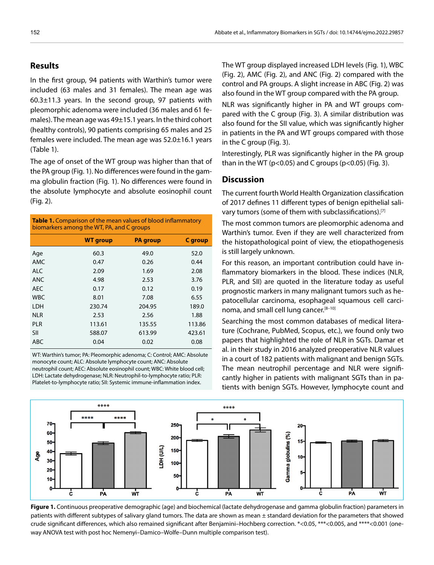## **Results**

In the first group, 94 patients with Warthin's tumor were included (63 males and 31 females). The mean age was  $60.3 \pm 11.3$  years. In the second group, 97 patients with pleomorphic adenoma were included (36 males and 61 females). The mean age was 49±15.1 years. In the third cohort (healthy controls), 90 patients comprising 65 males and 25 females were included. The mean age was 52.0±16.1 years (Table 1).

The age of onset of the WT group was higher than that of the PA group (Fig. 1). No differences were found in the gamma globulin fraction (Fig. 1). No differences were found in the absolute lymphocyte and absolute eosinophil count (Fig. 2).

| <b>Table 1.</b> Comparison of the mean values of blood inflammatory<br>biomarkers among the WT, PA, and C groups |                 |                 |         |
|------------------------------------------------------------------------------------------------------------------|-----------------|-----------------|---------|
|                                                                                                                  | <b>WT</b> group | <b>PA</b> group | C group |
| Age                                                                                                              | 60.3            | 49.0            | 52.0    |
| AMC                                                                                                              | 0.47            | 0.26            | 0.44    |
| ALC                                                                                                              | 2.09            | 1.69            | 2.08    |
| <b>ANC</b>                                                                                                       | 4.98            | 2.53            | 3.76    |
| <b>AEC</b>                                                                                                       | 0.17            | 0.12            | 0.19    |
| <b>WBC</b>                                                                                                       | 8.01            | 7.08            | 6.55    |
| LDH                                                                                                              | 230.74          | 204.95          | 189.0   |
| <b>NLR</b>                                                                                                       | 2.53            | 2.56            | 1.88    |
| <b>PLR</b>                                                                                                       | 113.61          | 135.55          | 113.86  |
| SII                                                                                                              | 588.07          | 613.99          | 423.61  |
| ABC                                                                                                              | 0.04            | 0.02            | 0.08    |

WT: Warthin's tumor; PA: Pleomorphic adenoma; C: Control; AMC: Absolute monocyte count; ALC: Absolute lymphocyte count; ANC: Absolute neutrophil count; AEC: Absolute eosinophil count; WBC: White blood cell; LDH: Lactate dehydrogenase; NLR: Neutrophil-to-lymphocyte ratio; PLR: Platelet-to-lymphocyte ratio; SII: Systemic immune-inflammation index.

The WT group displayed increased LDH levels (Fig. 1), WBC (Fig. 2), AMC (Fig. 2), and ANC (Fig. 2) compared with the control and PA groups. A slight increase in ABC (Fig. 2) was also found in the WT group compared with the PA group.

NLR was significantly higher in PA and WT groups compared with the C group (Fig. 3). A similar distribution was also found for the SII value, which was significantly higher in patients in the PA and WT groups compared with those in the C group (Fig. 3).

Interestingly, PLR was significantly higher in the PA group than in the WT ( $p<0.05$ ) and C groups ( $p<0.05$ ) (Fig. 3).

# **Discussion**

The current fourth World Health Organization classification of 2017 defines 11 different types of benign epithelial salivary tumors (some of them with subclassifications).<sup>[7]</sup>

The most common tumors are pleomorphic adenoma and Warthin's tumor. Even if they are well characterized from the histopathological point of view, the etiopathogenesis is still largely unknown.

For this reason, an important contribution could have inflammatory biomarkers in the blood. These indices (NLR, PLR, and SII) are quoted in the literature today as useful prognostic markers in many malignant tumors such as hepatocellular carcinoma, esophageal squamous cell carcinoma, and small cell lung cancer.<sup>[8-10]</sup>

Searching the most common databases of medical literature (Cochrane, PubMed, Scopus, etc.), we found only two papers that highlighted the role of NLR in SGTs. Damar et al. in their study in 2016 analyzed preoperative NLR values in a court of 182 patients with malignant and benign SGTs. The mean neutrophil percentage and NLR were significantly higher in patients with malignant SGTs than in patients with benign SGTs. However, lymphocyte count and



**Figure 1.** Continuous preoperative demographic (age) and biochemical (lactate dehydrogenase and gamma globulin fraction) parameters in patients with different subtypes of salivary gland tumors. The data are shown as mean ± standard deviation for the parameters that showed crude significant differences, which also remained significant after Benjamini–Hochberg correction. \*<0.05, \*\*\*<0.005, and \*\*\*\*<0.001 (oneway ANOVA test with post hoc Nemenyi–Damico–Wolfe–Dunn multiple comparison test).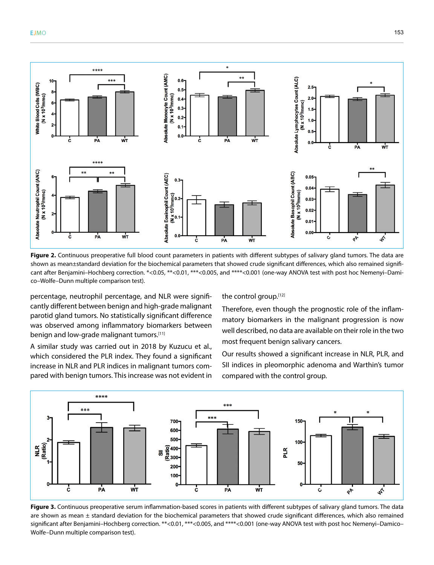



Figure 2. Continuous preoperative full blood count parameters in patients with different subtypes of salivary gland tumors. The data are shown as mean±standard deviation for the biochemical parameters that showed crude significant differences, which also remained significant after Benjamini–Hochberg correction. \*<0.05, \*\*<0.01, \*\*\*<0.005, and \*\*\*\*<0.001 (one-way ANOVA test with post hoc Nemenyi–Damico–Wolfe–Dunn multiple comparison test).

percentage, neutrophil percentage, and NLR were significantly different between benign and high-grade malignant parotid gland tumors. No statistically significant difference was observed among inflammatory biomarkers between benign and low-grade malignant tumors.<sup>[11]</sup>

A similar study was carried out in 2018 by Kuzucu et al., which considered the PLR index. They found a significant increase in NLR and PLR indices in malignant tumors compared with benign tumors. This increase was not evident in the control group.[12]

Therefore, even though the prognostic role of the inflammatory biomarkers in the malignant progression is now well described, no data are available on their role in the two most frequent benign salivary cancers.

Our results showed a significant increase in NLR, PLR, and SII indices in pleomorphic adenoma and Warthin's tumor compared with the control group.



Figure 3. Continuous preoperative serum inflammation-based scores in patients with different subtypes of salivary gland tumors. The data are shown as mean  $\pm$  standard deviation for the biochemical parameters that showed crude significant differences, which also remained significant after Benjamini–Hochberg correction. \*\*<0.01, \*\*\*<0.005, and \*\*\*\*<0.001 (one-way ANOVA test with post hoc Nemenyi–Damico– Wolfe–Dunn multiple comparison test).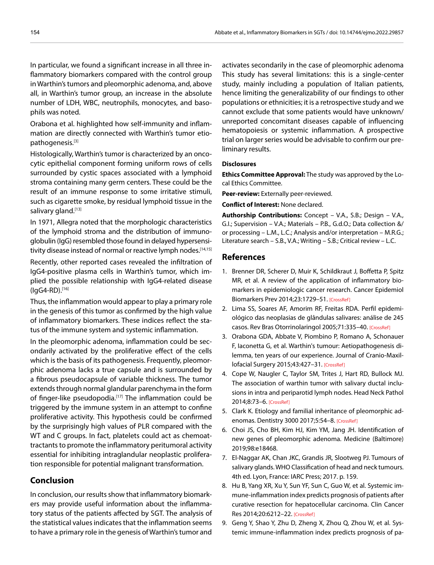In particular, we found a significant increase in all three inflammatory biomarkers compared with the control group in Warthin's tumors and pleomorphic adenoma, and, above all, in Warthin's tumor group, an increase in the absolute number of LDH, WBC, neutrophils, monocytes, and basophils was noted.

Orabona et al. highlighted how self-immunity and inflammation are directly connected with Warthin's tumor etiopathogenesis.[3]

Histologically, Warthin's tumor is characterized by an oncocytic epithelial component forming uniform rows of cells surrounded by cystic spaces associated with a lymphoid stroma containing many germ centers. These could be the result of an immune response to some irritative stimuli, such as cigarette smoke, by residual lymphoid tissue in the salivary gland.<sup>[13]</sup>

In 1971, Allegra noted that the morphologic characteristics of the lymphoid stroma and the distribution of immunoglobulin (IgG) resembled those found in delayed hypersensitivity disease instead of normal or reactive lymph nodes.<sup>[14,15]</sup>

Recently, other reported cases revealed the infiltration of IgG4-positive plasma cells in Warthin's tumor, which implied the possible relationship with IgG4-related disease (IgG4-RD).[16]

Thus, the inflammation would appear to play a primary role in the genesis of this tumor as confirmed by the high value of inflammatory biomarkers. These indices reflect the status of the immune system and systemic inflammation.

In the pleomorphic adenoma, inflammation could be secondarily activated by the proliferative effect of the cells which is the basis of its pathogenesis. Frequently, pleomorphic adenoma lacks a true capsule and is surrounded by a fibrous pseudocapsule of variable thickness. The tumor extends through normal glandular parenchyma in the form of finger-like pseudopodia.<sup>[17]</sup> The inflammation could be triggered by the immune system in an attempt to confine proliferative activity. This hypothesis could be confirmed by the surprisingly high values of PLR compared with the WT and C groups. In fact, platelets could act as chemoattractants to promote the inflammatory peritumoral activity essential for inhibiting intraglandular neoplastic proliferation responsible for potential malignant transformation.

# **Conclusion**

In conclusion, our results show that inflammatory biomarkers may provide useful information about the inflammatory status of the patients affected by SGT. The analysis of the statistical values indicates that the inflammation seems to have a primary role in the genesis of Warthin's tumor and

activates secondarily in the case of pleomorphic adenoma This study has several limitations: this is a single-center study, mainly including a population of Italian patients, hence limiting the generalizability of our findings to other populations or ethnicities; it is a retrospective study and we cannot exclude that some patients would have unknown/ unreported concomitant diseases capable of influencing hematopoiesis or systemic inflammation. A prospective trial on larger series would be advisable to confirm our preliminary results.

#### **Disclosures**

**Ethics Committee Approval:** The study was approved by the Local Ethics Committee.

**Peer-review:** Externally peer-reviewed.

**Conflict of Interest:** None declared.

**Authorship Contributions:** Concept – V.A., S.B.; Design – V.A., G.I.; Supervision – V.A.; Materials – P.B., G.d.O.; Data collection &/ or processing – L.M., L.C.; Analysis and/or interpretation – M.R.G.; Literature search – S.B., V.A.; Writing – S.B.; Critical review – L.C.

#### **References**

- 1. Brenner DR, Scherer D, Muir K, Schildkraut J, Boffetta P, Spitz MR, et al. A review of the application of inflammatory biomarkers in epidemiologic cancer research. Cancer Epidemiol Biomarkers Prev 2014;23:1729–5[1. \[CrossRef\]](https://doi.org/10.1158/1055-9965.EPI-14-0064)
- 2. Lima SS, Soares AF, Amorim RF, Freitas RDA. Perfil epidemiológico das neoplasias de glândulas salivares: análise de 245 casos. Rev Bras Otorrinolaringol 2005;71:335–4[0. \[CrossRef\]](https://doi.org/10.1590/S0034-72992005000300012)
- 3. Orabona GDA, Abbate V, Piombino P, Romano A, Schonauer F, Iaconetta G, et al. Warthin's tumour: Aetiopathogenesis dilemma, ten years of our experience. Journal of Cranio-Maxillofacial Surgery 2015;43:427–31[. \[CrossRef\]](https://doi.org/10.1016/j.jcms.2014.11.019)
- 4. Cope W, Naugler C, Taylor SM, Trites J, Hart RD, Bullock MJ. The association of warthin tumor with salivary ductal inclusions in intra and periparotid lymph nodes. Head Neck Pathol 2014;8:73–[6. \[CrossRef\]](https://doi.org/10.1007/s12105-013-0477-5)
- 5. Clark K. Etiology and familial inheritance of pleomorphic adenomas. Dentistry 3000 2017;5:54–8. [\[CrossRef\]](https://doi.org/10.5195/D3000.2017.70)
- 6. Choi JS, Cho BH, Kim HJ, Kim YM, Jang JH. Identification of new genes of pleomorphic adenoma. Medicine (Baltimore) 2019;98:e18468.
- 7. El-Naggar AK, Chan JKC, Grandis JR, Slootweg PJ. Tumours of salivary glands. WHO Classification of head and neck tumours. 4th ed. Lyon, France: IARC Press; 2017. p. 159.
- 8. Hu B, Yang XR, Xu Y, Sun YF, Sun C, Guo W, et al. Systemic immune-inflammation index predicts prognosis of patients after curative resection for hepatocellular carcinoma. Clin Cancer Res 2014;20:6212–22[. \[CrossRef\]](https://doi.org/10.1158/1078-0432.CCR-14-0442)
- 9. Geng Y, Shao Y, Zhu D, Zheng X, Zhou Q, Zhou W, et al. Systemic immune-inflammation index predicts prognosis of pa-